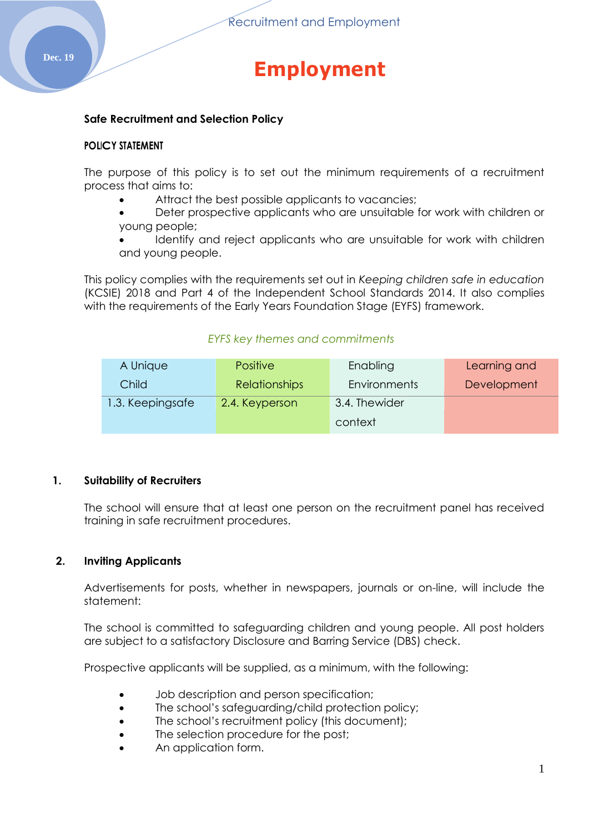# **Employment**

#### **Safe Recruitment and Selection Policy**

#### **POLICY STATEMENT**

The purpose of this policy is to set out the minimum requirements of a recruitment process that aims to:

- Attract the best possible applicants to vacancies;
- Deter prospective applicants who are unsuitable for work with children or young people;
- Identify and reject applicants who are unsuitable for work with children and young people.

This policy complies with the requirements set out in *Keeping children safe in education* (KCSIE) 2018 and Part 4 of the Independent School Standards 2014. It also complies with the requirements of the Early Years Foundation Stage (EYFS) framework.

# *EYFS key themes and commitments*

| A Unique         | <b>Positive</b>      | Enabling            | Learning and |
|------------------|----------------------|---------------------|--------------|
| Child            | <b>Relationships</b> | <b>Environments</b> | Development  |
| 1.3. Keepingsafe | 2.4. Keyperson       | 3.4. Thewider       |              |
|                  |                      | context             |              |

#### **1. Suitability of Recruiters**

The school will ensure that at least one person on the recruitment panel has received training in safe recruitment procedures.

#### **2. Inviting Applicants**

Advertisements for posts, whether in newspapers, journals or on-line, will include the statement:

The school is committed to safeguarding children and young people. All post holders are subject to a satisfactory Disclosure and Barring Service (DBS) check.

Prospective applicants will be supplied, as a minimum, with the following:

- Job description and person specification;
- The school's safeguarding/child protection policy;
- The school's recruitment policy (this document);
- The selection procedure for the post;
- An application form.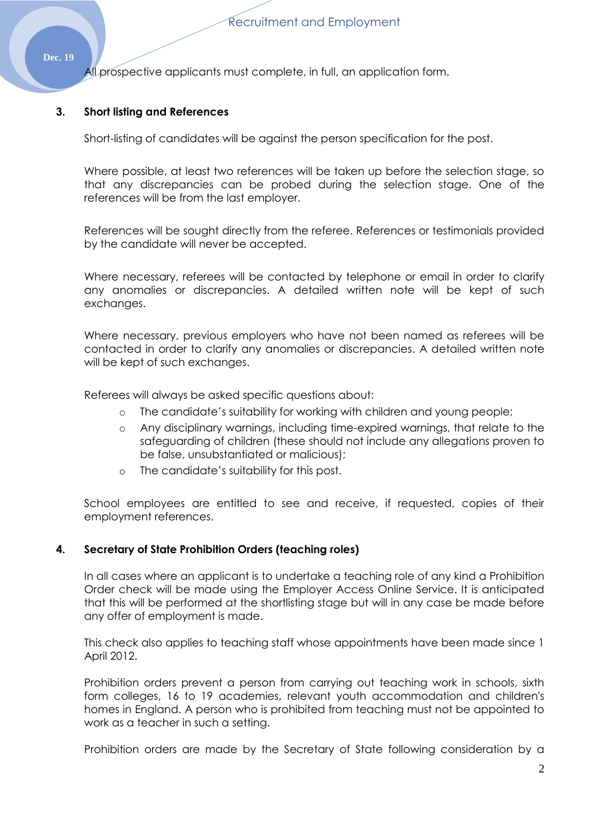All prospective applicants must complete, in full, an application form.

# **3. Short listing and References**

Short-listing of candidates will be against the person specification for the post.

Where possible, at least two references will be taken up before the selection stage, so that any discrepancies can be probed during the selection stage. One of the references will be from the last employer.

References will be sought directly from the referee. References or testimonials provided by the candidate will never be accepted.

Where necessary, referees will be contacted by telephone or email in order to clarify any anomalies or discrepancies. A detailed written note will be kept of such exchanges.

Where necessary, previous employers who have not been named as referees will be contacted in order to clarify any anomalies or discrepancies. A detailed written note will be kept of such exchanges.

Referees will always be asked specific questions about:

- o The candidate's suitability for working with children and young people;
- o Any disciplinary warnings, including time-expired warnings, that relate to the safeguarding of children (these should not include any allegations proven to be false, unsubstantiated or malicious);
- o The candidate's suitability for this post.

School employees are entitled to see and receive, if requested, copies of their employment references.

#### **4. Secretary of State Prohibition Orders (teaching roles)**

In all cases where an applicant is to undertake a teaching role of any kind a Prohibition Order check will be made using the Employer Access Online Service. It is anticipated that this will be performed at the shortlisting stage but will in any case be made before any offer of employment is made.

This check also applies to teaching staff whose appointments have been made since 1 April 2012.

Prohibition orders prevent a person from carrying out teaching work in schools, sixth form colleges, 16 to 19 academies, relevant youth accommodation and children's homes in England. A person who is prohibited from teaching must not be appointed to work as a teacher in such a setting.

Prohibition orders are made by the Secretary of State following consideration by a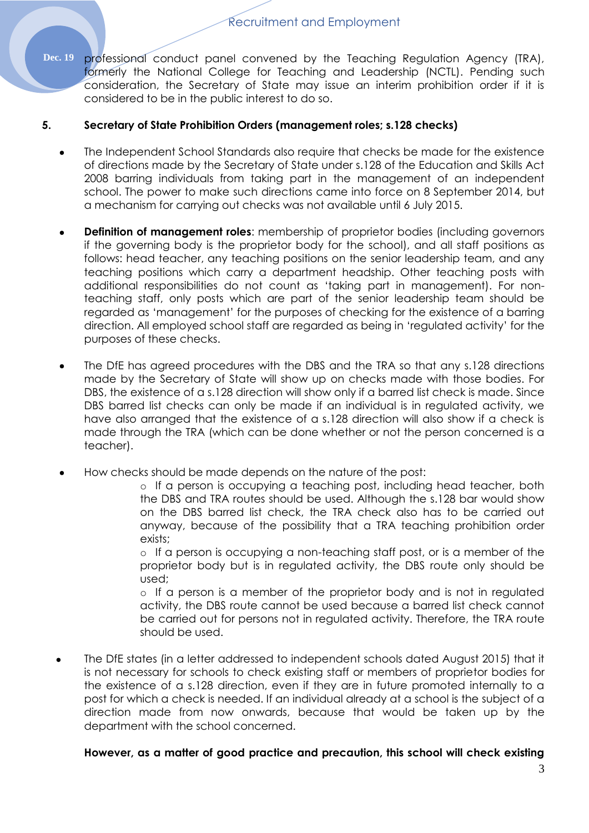**Dec. 19** professional conduct panel convened by the Teaching Regulation Agency (TRA), formerly the National College for Teaching and Leadership (NCTL). Pending such consideration, the Secretary of State may issue an interim prohibition order if it is considered to be in the public interest to do so.

# **5. Secretary of State Prohibition Orders (management roles; s.128 checks)**

- The Independent School Standards also require that checks be made for the existence of directions made by the Secretary of State under s.128 of the Education and Skills Act 2008 barring individuals from taking part in the management of an independent school. The power to make such directions came into force on 8 September 2014, but a mechanism for carrying out checks was not available until 6 July 2015.
- **Definition of management roles**: membership of proprietor bodies (including governors if the governing body is the proprietor body for the school), and all staff positions as follows: head teacher, any teaching positions on the senior leadership team, and any teaching positions which carry a department headship. Other teaching posts with additional responsibilities do not count as 'taking part in management). For nonteaching staff, only posts which are part of the senior leadership team should be regarded as 'management' for the purposes of checking for the existence of a barring direction. All employed school staff are regarded as being in 'regulated activity' for the purposes of these checks.
- The DfE has agreed procedures with the DBS and the TRA so that any s.128 directions made by the Secretary of State will show up on checks made with those bodies. For DBS, the existence of a s.128 direction will show only if a barred list check is made. Since DBS barred list checks can only be made if an individual is in regulated activity, we have also arranged that the existence of a s.128 direction will also show if a check is made through the TRA (which can be done whether or not the person concerned is a teacher).
- How checks should be made depends on the nature of the post:

o If a person is occupying a teaching post, including head teacher, both the DBS and TRA routes should be used. Although the s.128 bar would show on the DBS barred list check, the TRA check also has to be carried out anyway, because of the possibility that a TRA teaching prohibition order exists;

o If a person is occupying a non-teaching staff post, or is a member of the proprietor body but is in regulated activity, the DBS route only should be used;

o If a person is a member of the proprietor body and is not in regulated activity, the DBS route cannot be used because a barred list check cannot be carried out for persons not in regulated activity. Therefore, the TRA route should be used.

 The DfE states (in a letter addressed to independent schools dated August 2015) that it is not necessary for schools to check existing staff or members of proprietor bodies for the existence of a s.128 direction, even if they are in future promoted internally to a post for which a check is needed. If an individual already at a school is the subject of a direction made from now onwards, because that would be taken up by the department with the school concerned.

**However, as a matter of good practice and precaution, this school will check existing**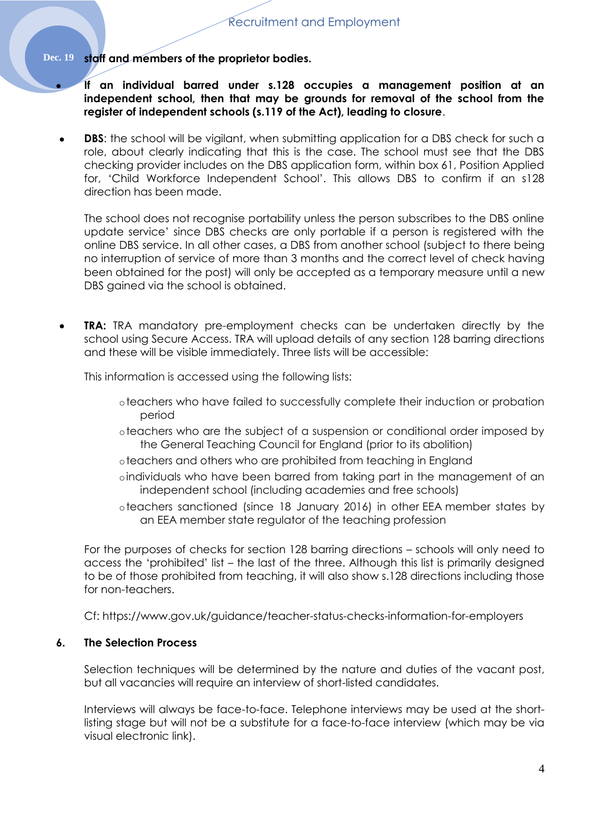# **Dec. 19 staff and members of the proprietor bodies.**

- **If an individual barred under s.128 occupies a management position at an independent school, then that may be grounds for removal of the school from the register of independent schools (s.119 of the Act), leading to closure**.
- **DBS:** the school will be vigilant, when submitting application for a DBS check for such a role, about clearly indicating that this is the case. The school must see that the DBS checking provider includes on the DBS application form, within box 61, Position Applied for, 'Child Workforce Independent School'. This allows DBS to confirm if an s128 direction has been made.

The school does not recognise portability unless the person subscribes to the DBS online update service' since DBS checks are only portable if a person is registered with the online DBS service. In all other cases, a DBS from another school (subject to there being no interruption of service of more than 3 months and the correct level of check having been obtained for the post) will only be accepted as a temporary measure until a new DBS gained via the school is obtained.

**TRA:** TRA mandatory pre-employment checks can be undertaken directly by the school using Secure Access. TRA will upload details of any section 128 barring directions and these will be visible immediately. Three lists will be accessible:

This information is accessed using the following lists:

- oteachers who have failed to successfully complete their induction or probation period
- oteachers who are the subject of a suspension or conditional order imposed by the General Teaching Council for England (prior to its abolition)
- oteachers and others who are prohibited from teaching in England
- oindividuals who have been barred from taking part in the management of an independent school (including academies and free schools)
- oteachers sanctioned (since 18 January 2016) in other EEA member states by an EEA member state regulator of the teaching profession

For the purposes of checks for section 128 barring directions – schools will only need to access the 'prohibited' list – the last of the three. Although this list is primarily designed to be of those prohibited from teaching, it will also show s.128 directions including those for non-teachers.

Cf: https://www.gov.uk/guidance/teacher-status-checks-information-for-employers

# **6. The Selection Process**

Selection techniques will be determined by the nature and duties of the vacant post, but all vacancies will require an interview of short-listed candidates.

Interviews will always be face-to-face. Telephone interviews may be used at the shortlisting stage but will not be a substitute for a face-to-face interview (which may be via visual electronic link).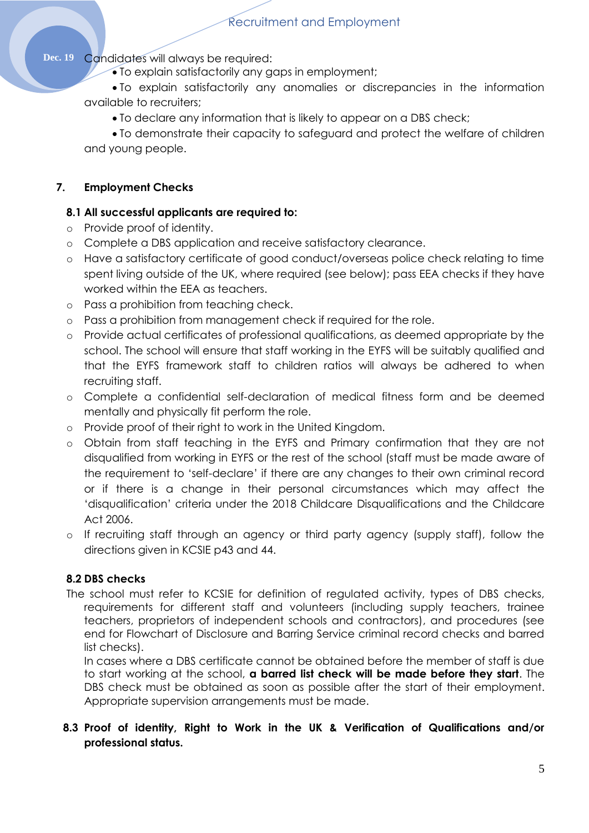- **Dec. 19** Candidates will always be required:
	- To explain satisfactorily any gaps in employment;

 To explain satisfactorily any anomalies or discrepancies in the information available to recruiters;

To declare any information that is likely to appear on a DBS check;

 To demonstrate their capacity to safeguard and protect the welfare of children and young people.

# **7. Employment Checks**

# **8.1 All successful applicants are required to:**

- o Provide proof of identity.
- o Complete a DBS application and receive satisfactory clearance.
- o Have a satisfactory certificate of good conduct/overseas police check relating to time spent living outside of the UK, where required (see below); pass EEA checks if they have worked within the EEA as teachers.
- o Pass a prohibition from teaching check.
- o Pass a prohibition from management check if required for the role.
- o Provide actual certificates of professional qualifications, as deemed appropriate by the school. The school will ensure that staff working in the EYFS will be suitably qualified and that the EYFS framework staff to children ratios will always be adhered to when recruiting staff.
- o Complete a confidential self-declaration of medical fitness form and be deemed mentally and physically fit perform the role.
- o Provide proof of their right to work in the United Kingdom.
- o Obtain from staff teaching in the EYFS and Primary confirmation that they are not disqualified from working in EYFS or the rest of the school (staff must be made aware of the requirement to 'self-declare' if there are any changes to their own criminal record or if there is a change in their personal circumstances which may affect the 'disqualification' criteria under the 2018 Childcare Disqualifications and the Childcare Act 2006.
- o If recruiting staff through an agency or third party agency (supply staff), follow the directions given in KCSIE p43 and 44.

# **8.2 DBS checks**

The school must refer to KCSIE for definition of regulated activity, types of DBS checks, requirements for different staff and volunteers (including supply teachers, trainee teachers, proprietors of independent schools and contractors), and procedures (see end for Flowchart of Disclosure and Barring Service criminal record checks and barred list checks).

In cases where a DBS certificate cannot be obtained before the member of staff is due to start working at the school, **a barred list check will be made before they start**. The DBS check must be obtained as soon as possible after the start of their employment. Appropriate supervision arrangements must be made.

# **8.3 Proof of identity, Right to Work in the UK & Verification of Qualifications and/or professional status.**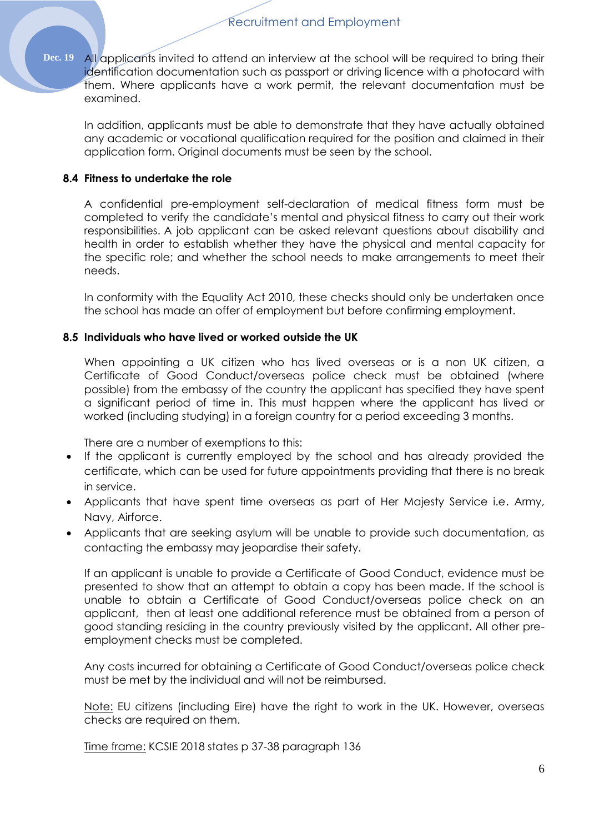**Dec. 19** All applicants invited to attend an interview at the school will be required to bring their identification documentation such as passport or driving licence with a photocard with them. Where applicants have a work permit, the relevant documentation must be examined.

In addition, applicants must be able to demonstrate that they have actually obtained any academic or vocational qualification required for the position and claimed in their application form. Original documents must be seen by the school.

#### **8.4 Fitness to undertake the role**

A confidential pre-employment self-declaration of medical fitness form must be completed to verify the candidate's mental and physical fitness to carry out their work responsibilities. A job applicant can be asked relevant questions about disability and health in order to establish whether they have the physical and mental capacity for the specific role; and whether the school needs to make arrangements to meet their needs.

In conformity with the Equality Act 2010, these checks should only be undertaken once the school has made an offer of employment but before confirming employment.

#### **8.5 Individuals who have lived or worked outside the UK**

When appointing a UK citizen who has lived overseas or is a non UK citizen, a Certificate of Good Conduct/overseas police check must be obtained (where possible) from the embassy of the country the applicant has specified they have spent a significant period of time in. This must happen where the applicant has lived or worked (including studying) in a foreign country for a period exceeding 3 months.

There are a number of exemptions to this:

- If the applicant is currently employed by the school and has already provided the certificate, which can be used for future appointments providing that there is no break in service.
- Applicants that have spent time overseas as part of Her Majesty Service i.e. Army, Navy, Airforce.
- Applicants that are seeking asylum will be unable to provide such documentation, as contacting the embassy may jeopardise their safety.

If an applicant is unable to provide a Certificate of Good Conduct, evidence must be presented to show that an attempt to obtain a copy has been made. If the school is unable to obtain a Certificate of Good Conduct/overseas police check on an applicant, then at least one additional reference must be obtained from a person of good standing residing in the country previously visited by the applicant. All other preemployment checks must be completed.

Any costs incurred for obtaining a Certificate of Good Conduct/overseas police check must be met by the individual and will not be reimbursed.

Note: EU citizens (including Eire) have the right to work in the UK. However, overseas checks are required on them.

Time frame: KCSIE 2018 states p 37-38 paragraph 136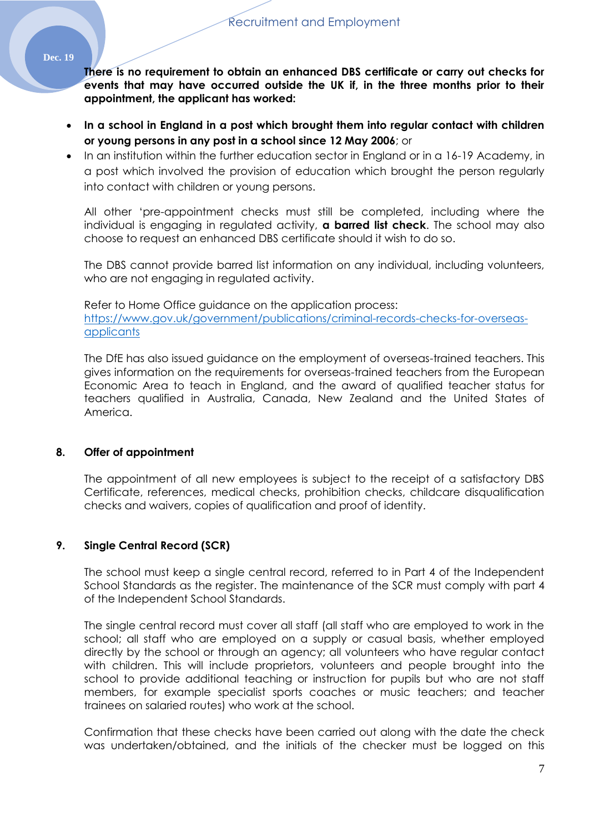**There is no requirement to obtain an enhanced DBS certificate or carry out checks for events that may have occurred outside the UK if, in the three months prior to their appointment, the applicant has worked:**

- **In a school in England in a post which brought them into regular contact with children or young persons in any post in a school since 12 May 2006**; or
- In an institution within the further education sector in England or in a 16-19 Academy, in a post which involved the provision of education which brought the person regularly into contact with children or young persons.

All other 'pre-appointment checks must still be completed, including where the individual is engaging in regulated activity, **a barred list check**. The school may also choose to request an enhanced DBS certificate should it wish to do so.

The DBS cannot provide barred list information on any individual, including volunteers, who are not engaging in regulated activity.

Refer to Home Office guidance on the application process: [https://www.gov.uk/government/publications/criminal-records-checks-for-overseas](https://www.gov.uk/government/publications/criminal-records-checks-for-overseas-applicants)[applicants](https://www.gov.uk/government/publications/criminal-records-checks-for-overseas-applicants)

The DfE has also issued guidance on the employment of overseas-trained teachers. This gives information on the requirements for overseas-trained teachers from the European Economic Area to teach in England, and the award of qualified teacher status for teachers qualified in Australia, Canada, New Zealand and the United States of America.

#### **8. Offer of appointment**

The appointment of all new employees is subject to the receipt of a satisfactory DBS Certificate, references, medical checks, prohibition checks, childcare disqualification checks and waivers, copies of qualification and proof of identity.

# **9. Single Central Record (SCR)**

The school must keep a single central record, referred to in Part 4 of the Independent School Standards as the register. The maintenance of the SCR must comply with part 4 of the Independent School Standards.

The single central record must cover all staff (all staff who are employed to work in the school; all staff who are employed on a supply or casual basis, whether employed directly by the school or through an agency; all volunteers who have regular contact with children. This will include proprietors, volunteers and people brought into the school to provide additional teaching or instruction for pupils but who are not staff members, for example specialist sports coaches or music teachers; and teacher trainees on salaried routes) who work at the school.

Confirmation that these checks have been carried out along with the date the check was undertaken/obtained, and the initials of the checker must be logged on this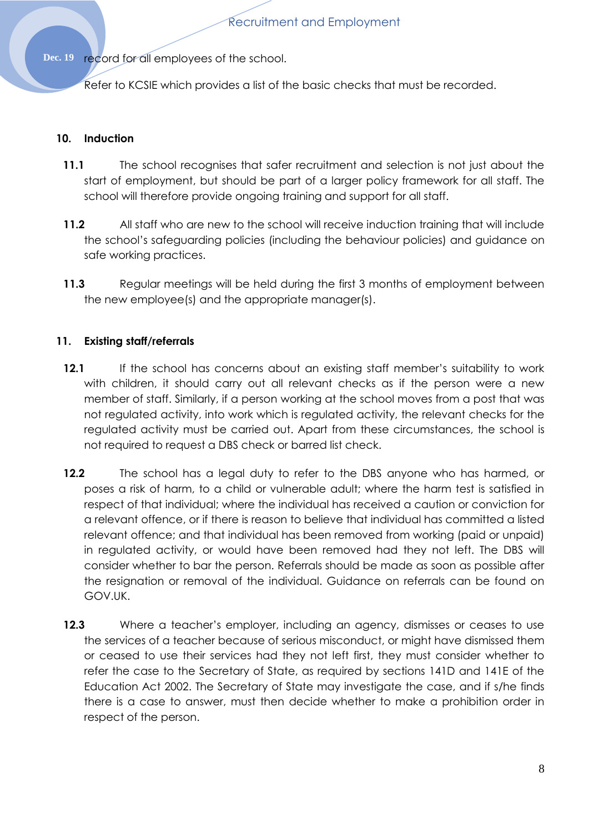**Dec. 19** record for all employees of the school.

Refer to KCSIE which provides a list of the basic checks that must be recorded.

# **10. Induction**

- **11.1** The school recognises that safer recruitment and selection is not just about the start of employment, but should be part of a larger policy framework for all staff. The school will therefore provide ongoing training and support for all staff.
- **11.2** All staff who are new to the school will receive induction training that will include the school's safeguarding policies (including the behaviour policies) and guidance on safe working practices.
- **11.3** Regular meetings will be held during the first 3 months of employment between the new employee(s) and the appropriate manager(s).

# **11. Existing staff/referrals**

- **12.1** If the school has concerns about an existing staff member's suitability to work with children, it should carry out all relevant checks as if the person were a new member of staff. Similarly, if a person working at the school moves from a post that was not regulated activity, into work which is regulated activity, the relevant checks for the regulated activity must be carried out. Apart from these circumstances, the school is not required to request a DBS check or barred list check.
- **12.2** The school has a legal duty to refer to the DBS anyone who has harmed, or poses a risk of harm, to a child or vulnerable adult; where the harm test is satisfied in respect of that individual; where the individual has received a caution or conviction for a relevant offence, or if there is reason to believe that individual has committed a listed relevant offence; and that individual has been removed from working (paid or unpaid) in regulated activity, or would have been removed had they not left. The DBS will consider whether to bar the person. Referrals should be made as soon as possible after the resignation or removal of the individual. Guidance on referrals can be found on GOV.UK.
- **12.3** Where a teacher's employer, including an agency, dismisses or ceases to use the services of a teacher because of serious misconduct, or might have dismissed them or ceased to use their services had they not left first, they must consider whether to refer the case to the Secretary of State, as required by sections 141D and 141E of the Education Act 2002. The Secretary of State may investigate the case, and if s/he finds there is a case to answer, must then decide whether to make a prohibition order in respect of the person.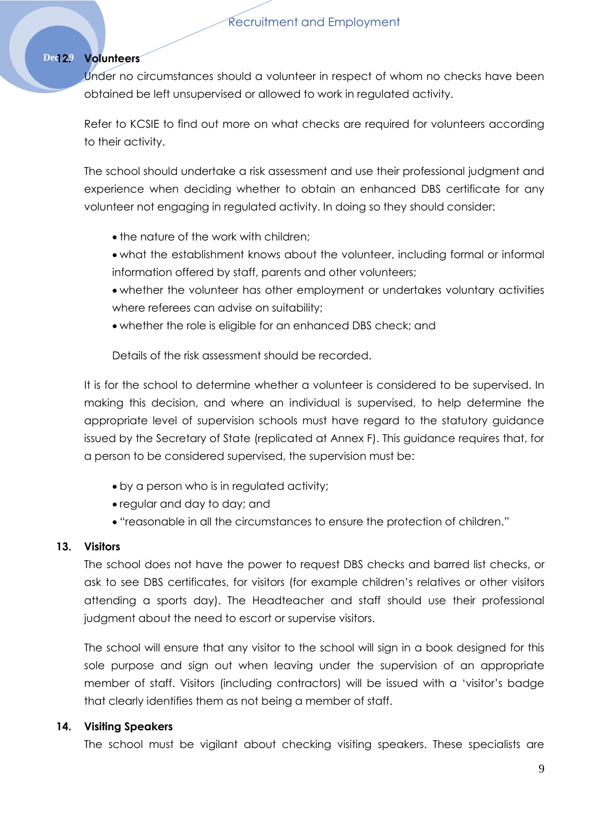#### **Dec. 19 12. Volunteers**

Under no circumstances should a volunteer in respect of whom no checks have been obtained be left unsupervised or allowed to work in regulated activity.

Refer to KCSIE to find out more on what checks are required for volunteers according to their activity.

The school should undertake a risk assessment and use their professional judgment and experience when deciding whether to obtain an enhanced DBS certificate for any volunteer not engaging in regulated activity. In doing so they should consider:

- the nature of the work with children:
- what the establishment knows about the volunteer, including formal or informal information offered by staff, parents and other volunteers;
- whether the volunteer has other employment or undertakes voluntary activities where referees can advise on suitability;
- whether the role is eligible for an enhanced DBS check; and

Details of the risk assessment should be recorded.

It is for the school to determine whether a volunteer is considered to be supervised. In making this decision, and where an individual is supervised, to help determine the appropriate level of supervision schools must have regard to the statutory guidance issued by the Secretary of State (replicated at Annex F). This guidance requires that, for a person to be considered supervised, the supervision must be:

- by a person who is in regulated activity;
- regular and day to day; and
- "reasonable in all the circumstances to ensure the protection of children."

# **13. Visitors**

The school does not have the power to request DBS checks and barred list checks, or ask to see DBS certificates, for visitors (for example children's relatives or other visitors attending a sports day). The Headteacher and staff should use their professional judgment about the need to escort or supervise visitors.

The school will ensure that any visitor to the school will sign in a book designed for this sole purpose and sign out when leaving under the supervision of an appropriate member of staff. Visitors (including contractors) will be issued with a 'visitor's badge that clearly identifies them as not being a member of staff.

# **14. Visiting Speakers**

The school must be vigilant about checking visiting speakers. These specialists are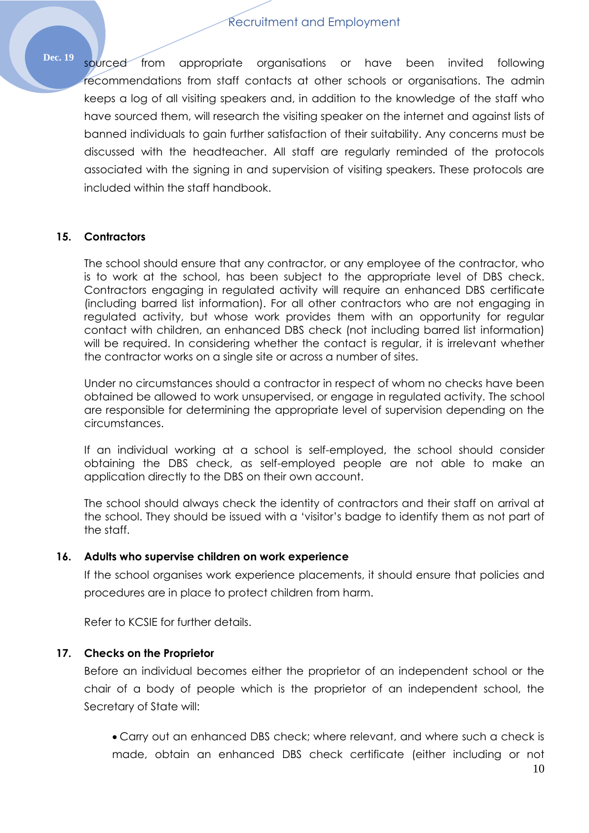**Dec. 19** sourced from appropriate organisations or have been invited following recommendations from staff contacts at other schools or organisations. The admin keeps a log of all visiting speakers and, in addition to the knowledge of the staff who have sourced them, will research the visiting speaker on the internet and against lists of banned individuals to gain further satisfaction of their suitability. Any concerns must be discussed with the headteacher. All staff are regularly reminded of the protocols associated with the signing in and supervision of visiting speakers. These protocols are included within the staff handbook.

# **15. Contractors**

The school should ensure that any contractor, or any employee of the contractor, who is to work at the school, has been subject to the appropriate level of DBS check. Contractors engaging in regulated activity will require an enhanced DBS certificate (including barred list information). For all other contractors who are not engaging in regulated activity, but whose work provides them with an opportunity for regular contact with children, an enhanced DBS check (not including barred list information) will be required. In considering whether the contact is regular, it is irrelevant whether the contractor works on a single site or across a number of sites.

Under no circumstances should a contractor in respect of whom no checks have been obtained be allowed to work unsupervised, or engage in regulated activity. The school are responsible for determining the appropriate level of supervision depending on the circumstances.

If an individual working at a school is self-employed, the school should consider obtaining the DBS check, as self-employed people are not able to make an application directly to the DBS on their own account.

The school should always check the identity of contractors and their staff on arrival at the school. They should be issued with a 'visitor's badge to identify them as not part of the staff.

#### **16. Adults who supervise children on work experience**

If the school organises work experience placements, it should ensure that policies and procedures are in place to protect children from harm.

Refer to KCSIE for further details.

#### **17. Checks on the Proprietor**

Before an individual becomes either the proprietor of an independent school or the chair of a body of people which is the proprietor of an independent school, the Secretary of State will:

 Carry out an enhanced DBS check; where relevant, and where such a check is made, obtain an enhanced DBS check certificate (either including or not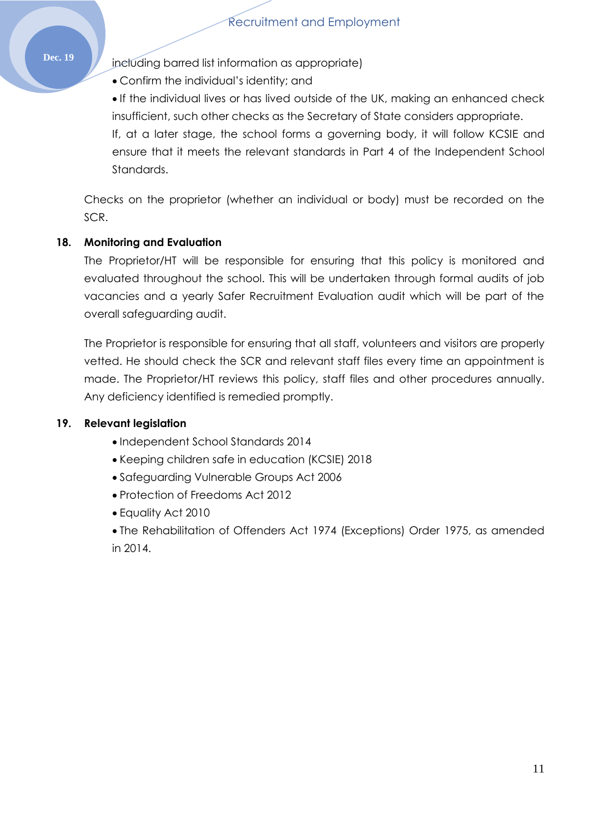# **Dec. 19** Including barred list information as appropriate)

Confirm the individual's identity; and

 If the individual lives or has lived outside of the UK, making an enhanced check insufficient, such other checks as the Secretary of State considers appropriate.

If, at a later stage, the school forms a governing body, it will follow KCSIE and ensure that it meets the relevant standards in Part 4 of the Independent School Standards.

Checks on the proprietor (whether an individual or body) must be recorded on the SCR.

# **18. Monitoring and Evaluation**

The Proprietor/HT will be responsible for ensuring that this policy is monitored and evaluated throughout the school. This will be undertaken through formal audits of job vacancies and a yearly Safer Recruitment Evaluation audit which will be part of the overall safeguarding audit.

The Proprietor is responsible for ensuring that all staff, volunteers and visitors are properly vetted. He should check the SCR and relevant staff files every time an appointment is made. The Proprietor/HT reviews this policy, staff files and other procedures annually. Any deficiency identified is remedied promptly.

# **19. Relevant legislation**

- Independent School Standards 2014
- Keeping children safe in education (KCSIE) 2018
- Safeguarding Vulnerable Groups Act 2006
- Protection of Freedoms Act 2012
- Equality Act 2010

 The Rehabilitation of Offenders Act 1974 (Exceptions) Order 1975, as amended in 2014.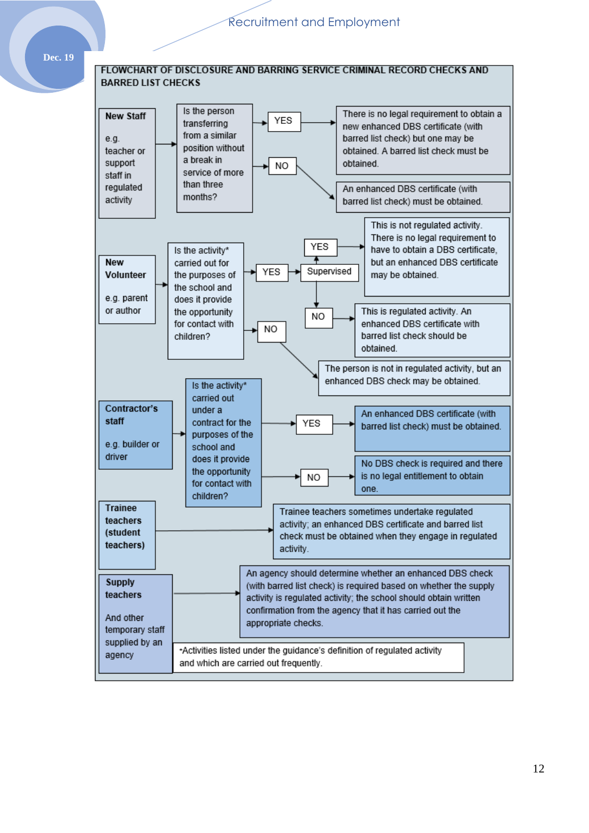**Dec. 19**

#### FLOWCHART OF DISCLOSURE AND BARRING SERVICE CRIMINAL RECORD CHECKS AND **BARRED LIST CHECKS**

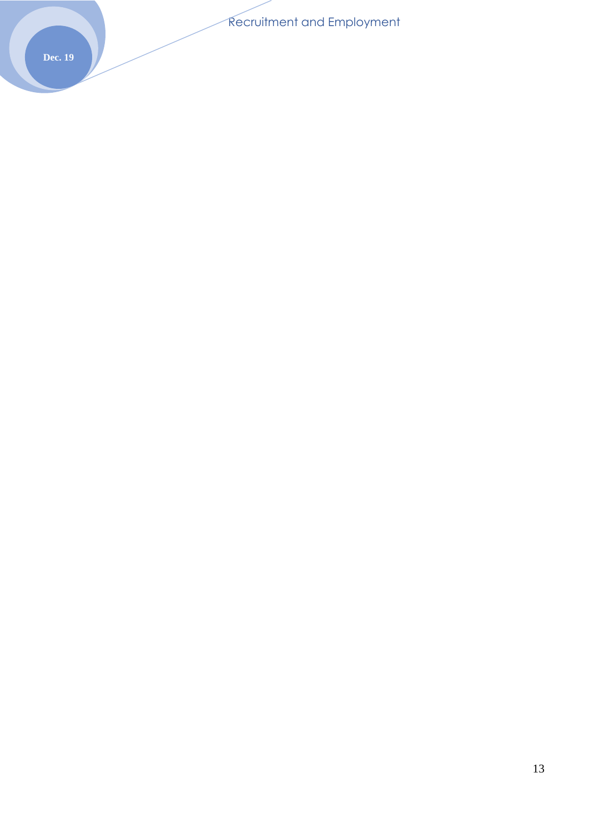**Dec. 19**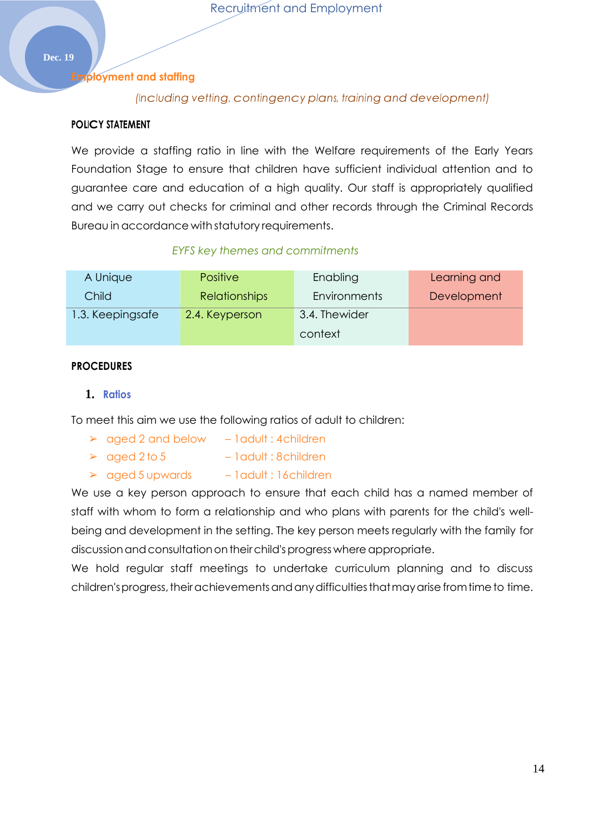#### **Employment and staffing**

# *(Including vetting, contingency plans, training and development)*

#### **POLICY STATEMENT**

We provide a staffing ratio in line with the Welfare requirements of the Early Years Foundation Stage to ensure that children have sufficient individual attention and to guarantee care and education of a high quality. Our staff is appropriately qualified and we carry out checks for criminal and other records through the Criminal Records Bureau in accordance with statutory requirements.

#### *EYFS key themes and commitments*

| A Unique         | <b>Positive</b>      | Enabling            | Learning and |
|------------------|----------------------|---------------------|--------------|
| Child            | <b>Relationships</b> | <b>Environments</b> | Development  |
| 1.3. Keepingsafe | 2.4. Keyperson       | 3.4. Thewider       |              |
|                  |                      | context             |              |

#### **PROCEDURES**

#### **1. Ratios**

To meet this aim we use the following ratios of adult to children:

- $\geq$  aged 2 and below  $-$  1 adult : 4 children
- $\geq$  aged 2 to 5 1 adult : 8 children
- ➢ aged 5 upwards 1adult : 16children

We use a key person approach to ensure that each child has a named member of staff with whom to form a relationship and who plans with parents for the child's wellbeing and development in the setting. The key person meets regularly with the family for discussion and consultation on their child's progress where appropriate.

We hold regular staff meetings to undertake curriculum planning and to discuss children's progress, their achievements and any difficulties that may arise from time to time.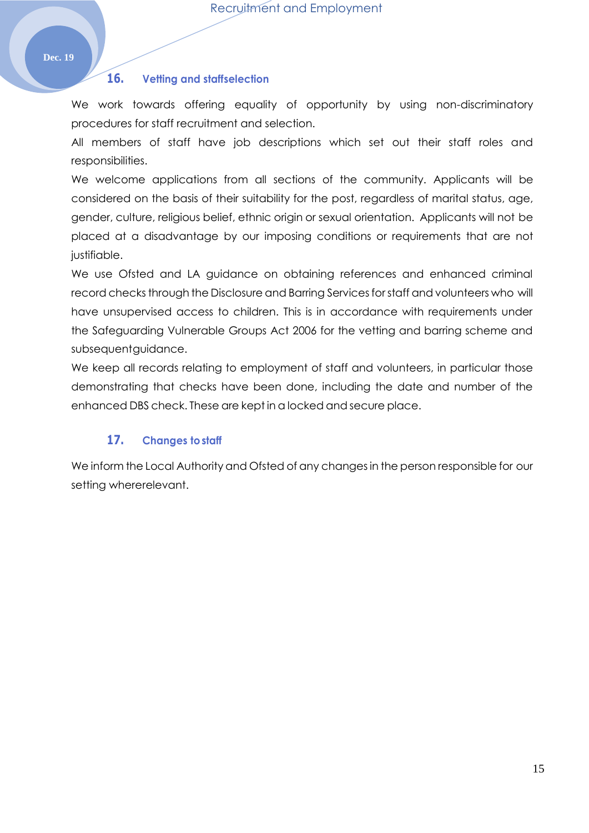# **16. Vetting and staffselection**

We work towards offering equality of opportunity by using non-discriminatory procedures for staff recruitment and selection.

All members of staff have job descriptions which set out their staff roles and responsibilities.

We welcome applications from all sections of the community. Applicants will be considered on the basis of their suitability for the post, regardless of marital status, age, gender, culture, religious belief, ethnic origin or sexual orientation. Applicants will not be placed at a disadvantage by our imposing conditions or requirements that are not justifiable.

We use Ofsted and LA guidance on obtaining references and enhanced criminal record checks through the Disclosure and Barring Services for staff and volunteers who will have unsupervised access to children. This is in accordance with requirements under the Safeguarding Vulnerable Groups Act 2006 for the vetting and barring scheme and subsequentguidance.

We keep all records relating to employment of staff and volunteers, in particular those demonstrating that checks have been done, including the date and number of the enhanced DBS check. These are kept in a locked and secure place.

# **17. Changes tostaff**

We inform the Local Authority and Ofsted of any changesin the person responsible for our setting whererelevant.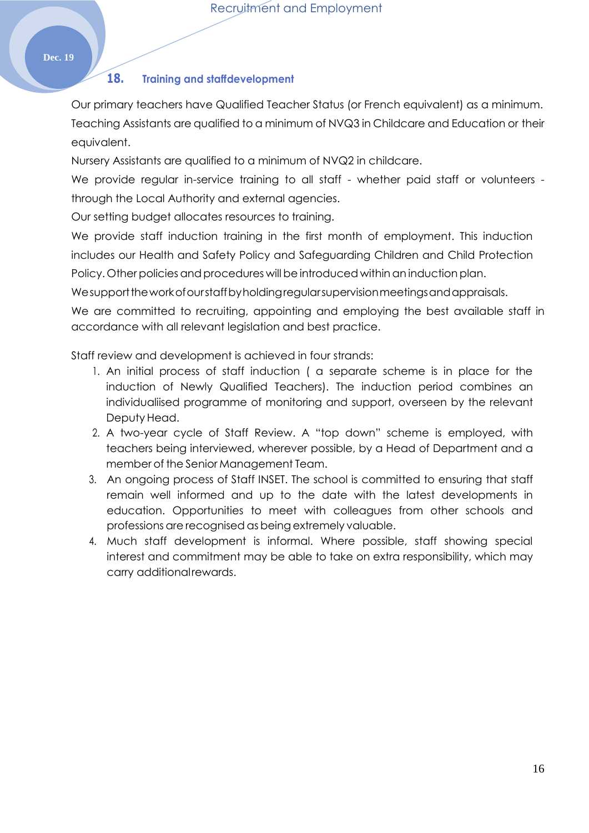# **18. Training and staffdevelopment**

Our primary teachers have Qualified Teacher Status (or French equivalent) as a minimum. Teaching Assistants are qualified to a minimum of NVQ3 in Childcare and Education or their equivalent.

Nursery Assistants are qualified to a minimum of NVQ2 in childcare.

We provide regular in-service training to all staff - whether paid staff or volunteers through the Local Authority and external agencies.

Our setting budget allocates resources to training.

We provide staff induction training in the first month of employment. This induction includes our Health and Safety Policy and Safeguarding Children and Child Protection Policy. Other policies and procedures will be introduced within an induction plan.

We support the work of our staff by holding regular supervision meetings and appraisals.

We are committed to recruiting, appointing and employing the best available staff in accordance with all relevant legislation and best practice.

Staff review and development is achieved in four strands:

- 1. An initial process of staff induction ( a separate scheme is in place for the induction of Newly Qualified Teachers). The induction period combines an individualiised programme of monitoring and support, overseen by the relevant Deputy Head.
- 2. A two-year cycle of Staff Review. A "top down" scheme is employed, with teachers being interviewed, wherever possible, by a Head of Department and a member of the Senior Management Team.
- 3. An ongoing process of Staff INSET. The school is committed to ensuring that staff remain well informed and up to the date with the latest developments in education. Opportunities to meet with colleagues from other schools and professions are recognised asbeingextremely valuable.
- 4. Much staff development is informal. Where possible, staff showing special interest and commitment may be able to take on extra responsibility, which may carry additionalrewards.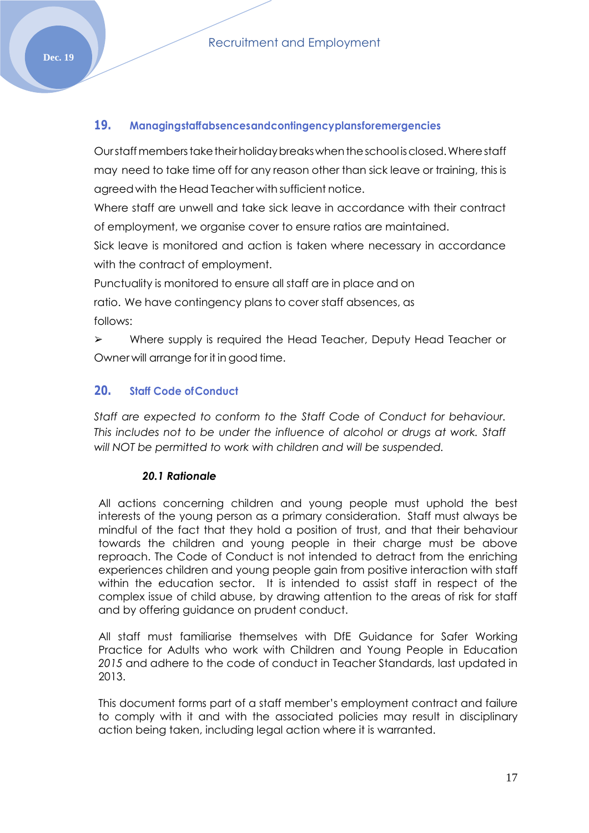# **19. Managingstaffabsencesandcontingencyplansforemergencies**

Ourstaffmemberstaketheirholidaybreakswhentheschool isclosed.Wherestaff may need to take time off for any reason other than sick leave or training, this is agreedwith the Head Teacher with sufficient notice.

Where staff are unwell and take sick leave in accordance with their contract of employment, we organise cover to ensure ratios are maintained.

Sick leave is monitored and action is taken where necessary in accordance with the contract of employment.

Punctuality is monitored to ensure all staff are in place and on ratio. We have contingency plans to cover staff absences, as follows:

➢ Where supply is required the Head Teacher, Deputy Head Teacher or Owner will arrange for it in good time.

# **20. Staff Code ofConduct**

*Staff are expected to conform to the Staff Code of Conduct for behaviour. This includes not to be under the influence of alcohol or drugs at work. Staff will NOT be permitted to work with children and will be suspended.*

# *20.1 Rationale*

All actions concerning children and young people must uphold the best interests of the young person as a primary consideration. Staff must always be mindful of the fact that they hold a position of trust, and that their behaviour towards the children and young people in their charge must be above reproach. The Code of Conduct is not intended to detract from the enriching experiences children and young people gain from positive interaction with staff within the education sector. It is intended to assist staff in respect of the complex issue of child abuse, by drawing attention to the areas of risk for staff and by offering guidance on prudent conduct.

All staff must familiarise themselves with DfE Guidance for Safer Working Practice for Adults who work with Children and Young People in Education *2015* and adhere to the code of conduct in Teacher Standards, last updated in 2013.

This document forms part of a staff member's employment contract and failure to comply with it and with the associated policies may result in disciplinary action being taken, including legal action where it is warranted.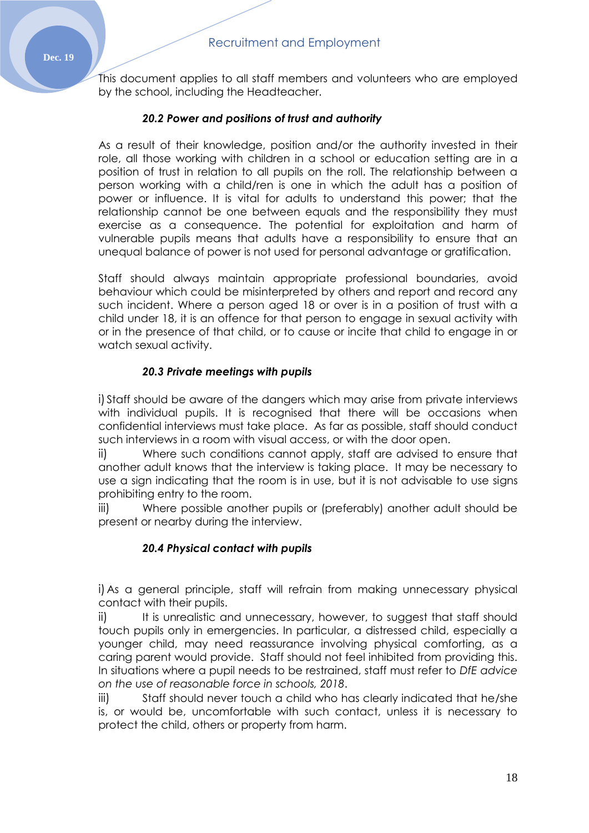This document applies to all staff members and volunteers who are employed by the school, including the Headteacher.

# *20.2 Power and positions of trust and authority*

As a result of their knowledge, position and/or the authority invested in their role, all those working with children in a school or education setting are in a position of trust in relation to all pupils on the roll. The relationship between a person working with a child/ren is one in which the adult has a position of power or influence. It is vital for adults to understand this power; that the relationship cannot be one between equals and the responsibility they must exercise as a consequence. The potential for exploitation and harm of vulnerable pupils means that adults have a responsibility to ensure that an unequal balance of power is not used for personal advantage or gratification.

Staff should always maintain appropriate professional boundaries, avoid behaviour which could be misinterpreted by others and report and record any such incident. Where a person aged 18 or over is in a position of trust with a child under 18, it is an offence for that person to engage in sexual activity with or in the presence of that child, or to cause or incite that child to engage in or watch sexual activity.

# *20.3 Private meetings with pupils*

i) Staff should be aware of the dangers which may arise from private interviews with individual pupils. It is recognised that there will be occasions when confidential interviews must take place. As far as possible, staff should conduct such interviews in a room with visual access, or with the door open.

ii) Where such conditions cannot apply, staff are advised to ensure that another adult knows that the interview is taking place. It may be necessary to use a sign indicating that the room is in use, but it is not advisable to use signs prohibiting entry to the room.

iii) Where possible another pupils or (preferably) another adult should be present or nearby during the interview.

# *20.4 Physical contact with pupils*

i) As a general principle, staff will refrain from making unnecessary physical contact with their pupils.

ii) It is unrealistic and unnecessary, however, to suggest that staff should touch pupils only in emergencies. In particular, a distressed child, especially a younger child, may need reassurance involving physical comforting, as a caring parent would provide. Staff should not feel inhibited from providing this. In situations where a pupil needs to be restrained, staff must refer to *DfE advice on the use of reasonable force in schools, 2018*.

iii) Staff should never touch a child who has clearly indicated that he/she is, or would be, uncomfortable with such contact, unless it is necessary to protect the child, others or property from harm.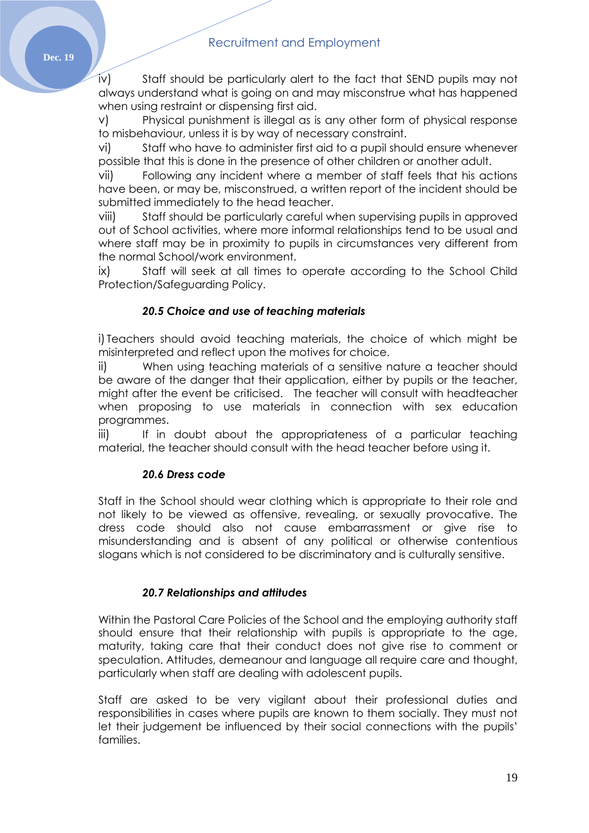iv) Staff should be particularly alert to the fact that SEND pupils may not always understand what is going on and may misconstrue what has happened when using restraint or dispensing first aid.

v) Physical punishment is illegal as is any other form of physical response to misbehaviour, unless it is by way of necessary constraint.

vi) Staff who have to administer first aid to a pupil should ensure whenever possible that this is done in the presence of other children or another adult.

vii) Following any incident where a member of staff feels that his actions have been, or may be, misconstrued, a written report of the incident should be submitted immediately to the head teacher.

viii) Staff should be particularly careful when supervising pupils in approved out of School activities, where more informal relationships tend to be usual and where staff may be in proximity to pupils in circumstances very different from the normal School/work environment.

ix) Staff will seek at all times to operate according to the School Child Protection/Safeguarding Policy.

# *20.5 Choice and use of teaching materials*

i) Teachers should avoid teaching materials, the choice of which might be misinterpreted and reflect upon the motives for choice.

ii) When using teaching materials of a sensitive nature a teacher should be aware of the danger that their application, either by pupils or the teacher, might after the event be criticised. The teacher will consult with headteacher when proposing to use materials in connection with sex education programmes.

iii) If in doubt about the appropriateness of a particular teaching material, the teacher should consult with the head teacher before using it.

# *20.6 Dress code*

Staff in the School should wear clothing which is appropriate to their role and not likely to be viewed as offensive, revealing, or sexually provocative. The dress code should also not cause embarrassment or give rise to misunderstanding and is absent of any political or otherwise contentious slogans which is not considered to be discriminatory and is culturally sensitive.

# *20.7 Relationships and attitudes*

Within the Pastoral Care Policies of the School and the employing authority staff should ensure that their relationship with pupils is appropriate to the age, maturity, taking care that their conduct does not give rise to comment or speculation. Attitudes, demeanour and language all require care and thought, particularly when staff are dealing with adolescent pupils.

Staff are asked to be very vigilant about their professional duties and responsibilities in cases where pupils are known to them socially. They must not let their judgement be influenced by their social connections with the pupils' families.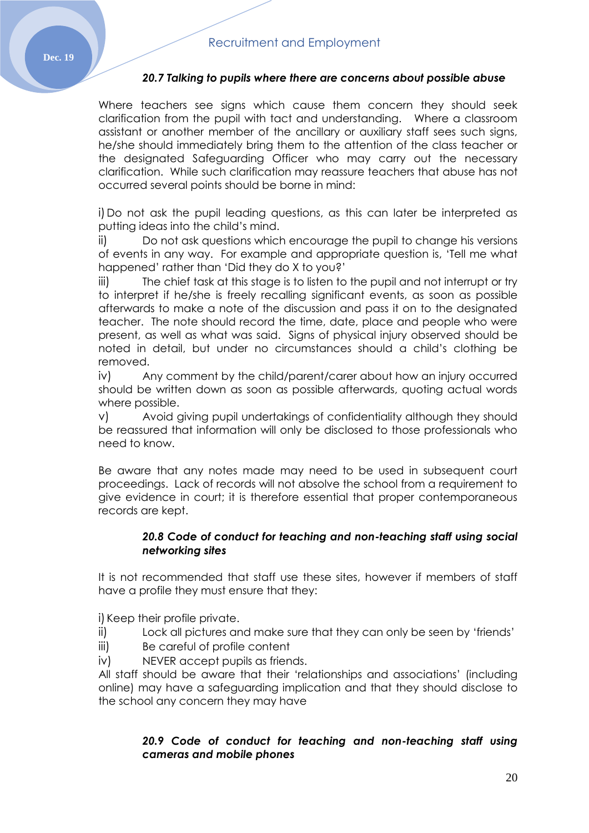# *20.7 Talking to pupils where there are concerns about possible abuse*

Where teachers see signs which cause them concern they should seek clarification from the pupil with tact and understanding. Where a classroom assistant or another member of the ancillary or auxiliary staff sees such signs, he/she should immediately bring them to the attention of the class teacher or the designated Safeguarding Officer who may carry out the necessary clarification. While such clarification may reassure teachers that abuse has not occurred several points should be borne in mind:

i) Do not ask the pupil leading questions, as this can later be interpreted as putting ideas into the child's mind.

ii) Do not ask questions which encourage the pupil to change his versions of events in any way. For example and appropriate question is, 'Tell me what happened' rather than 'Did they do X to you?'

iii) The chief task at this stage is to listen to the pupil and not interrupt or try to interpret if he/she is freely recalling significant events, as soon as possible afterwards to make a note of the discussion and pass it on to the designated teacher. The note should record the time, date, place and people who were present, as well as what was said. Signs of physical injury observed should be noted in detail, but under no circumstances should a child's clothing be removed.

iv) Any comment by the child/parent/carer about how an injury occurred should be written down as soon as possible afterwards, quoting actual words where possible.

v) Avoid giving pupil undertakings of confidentiality although they should be reassured that information will only be disclosed to those professionals who need to know.

Be aware that any notes made may need to be used in subsequent court proceedings. Lack of records will not absolve the school from a requirement to give evidence in court; it is therefore essential that proper contemporaneous records are kept.

#### *20.8 Code of conduct for teaching and non-teaching staff using social networking sites*

It is not recommended that staff use these sites, however if members of staff have a profile they must ensure that they:

i) Keep their profile private.

ii) Lock all pictures and make sure that they can only be seen by 'friends'

- iii) Be careful of profile content
- iv) NEVER accept pupils as friends.

All staff should be aware that their 'relationships and associations' (including online) may have a safeguarding implication and that they should disclose to the school any concern they may have

#### *20.9 Code of conduct for teaching and non-teaching staff using cameras and mobile phones*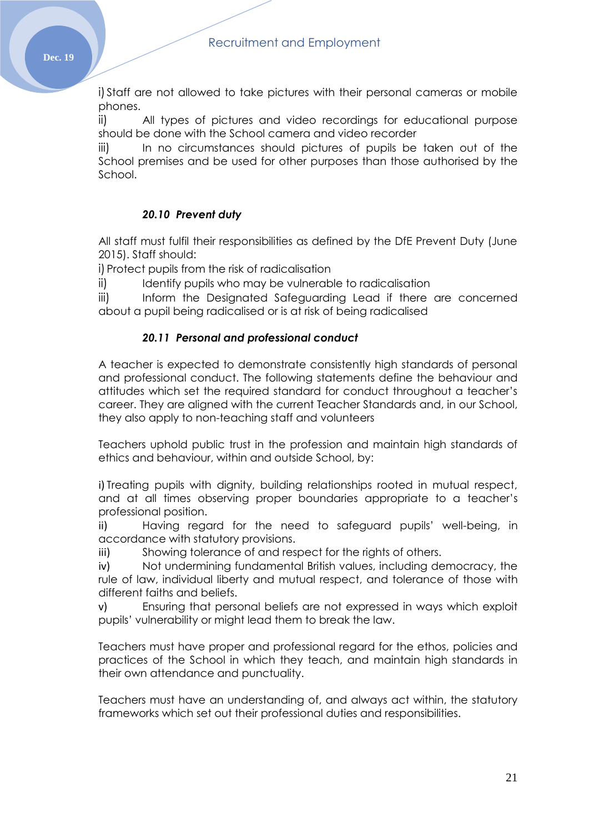i) Staff are not allowed to take pictures with their personal cameras or mobile phones.

ii) All types of pictures and video recordings for educational purpose should be done with the School camera and video recorder

iii) In no circumstances should pictures of pupils be taken out of the School premises and be used for other purposes than those authorised by the School.

# *20.10 Prevent duty*

All staff must fulfil their responsibilities as defined by the DfE Prevent Duty (June 2015). Staff should:

i) Protect pupils from the risk of radicalisation

ii) Identify pupils who may be vulnerable to radicalisation

iii) Inform the Designated Safeguarding Lead if there are concerned about a pupil being radicalised or is at risk of being radicalised

# *20.11 Personal and professional conduct*

A teacher is expected to demonstrate consistently high standards of personal and professional conduct. The following statements define the behaviour and attitudes which set the required standard for conduct throughout a teacher's career. They are aligned with the current Teacher Standards and, in our School, they also apply to non-teaching staff and volunteers

Teachers uphold public trust in the profession and maintain high standards of ethics and behaviour, within and outside School, by:

i) Treating pupils with dignity, building relationships rooted in mutual respect, and at all times observing proper boundaries appropriate to a teacher's professional position.

ii) Having regard for the need to safeguard pupils' well-being, in accordance with statutory provisions.

iii) Showing tolerance of and respect for the rights of others.

iv) Not undermining fundamental British values, including democracy, the rule of law, individual liberty and mutual respect, and tolerance of those with different faiths and beliefs.

v) Ensuring that personal beliefs are not expressed in ways which exploit pupils' vulnerability or might lead them to break the law.

Teachers must have proper and professional regard for the ethos, policies and practices of the School in which they teach, and maintain high standards in their own attendance and punctuality.

Teachers must have an understanding of, and always act within, the statutory frameworks which set out their professional duties and responsibilities.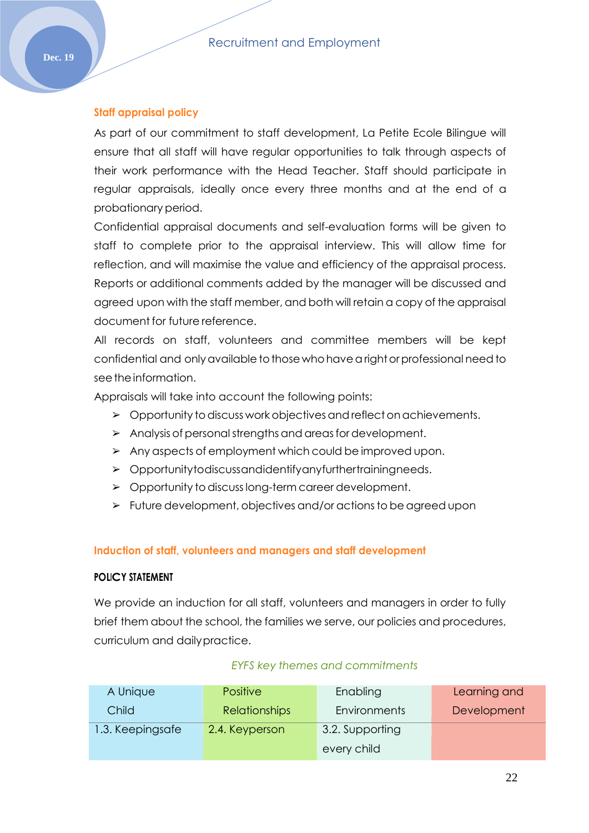#### **Staff appraisal policy**

As part of our commitment to staff development, La Petite Ecole Bilingue will ensure that all staff will have regular opportunities to talk through aspects of their work performance with the Head Teacher. Staff should participate in regular appraisals, ideally once every three months and at the end of a probationary period.

Confidential appraisal documents and self-evaluation forms will be given to staff to complete prior to the appraisal interview. This will allow time for reflection, and will maximise the value and efficiency of the appraisal process. Reports or additional comments added by the manager will be discussed and agreed upon with the staff member, and both will retain a copy of the appraisal document for future reference.

All records on staff, volunteers and committee members will be kept confidential and only available to those who have a right or professional need to seetheinformation.

Appraisals will take into account the following points:

- $\triangleright$  Opportunity to discuss work objectives and reflect on achievements.
- ➢ Analysis of personalstrengths and areasfor development.
- ➢ Any aspects of employment which could be improved upon.
- ➢ Opportunitytodiscussandidentifyanyfurthertrainingneeds.
- ➢ Opportunity todiscusslong-term career development.
- $\triangleright$  Future development, objectives and/or actions to be agreed upon

#### **Induction of staff, volunteers and managers and staff development**

#### **POLICY STATEMENT**

We provide an induction for all staff, volunteers and managers in order to fully brief them about the school, the families we serve, our policies and procedures, curriculum and dailypractice.

| A Unique         | <b>Positive</b>      | Enabling            | Learning and |
|------------------|----------------------|---------------------|--------------|
| Child            | <b>Relationships</b> | <b>Environments</b> | Development  |
| 1.3. Keepingsafe | 2.4. Keyperson       | 3.2. Supporting     |              |
|                  |                      | every child         |              |

#### *EYFS key themes and commitments*